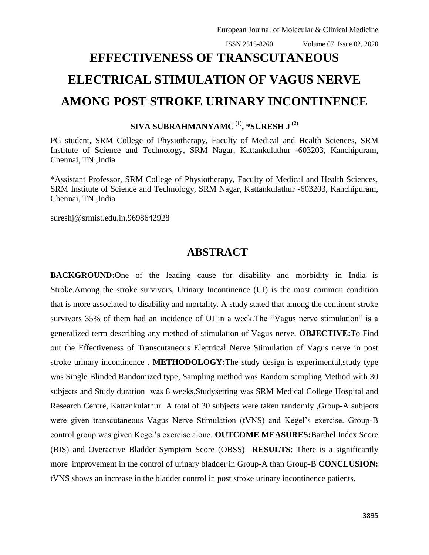# **EFFECTIVENESS OF TRANSCUTANEOUS ELECTRICAL STIMULATION OF VAGUS NERVE AMONG POST STROKE URINARY INCONTINENCE**

**SIVA SUBRAHMANYAMC (1) , \*SURESH J (2)**

PG student, SRM College of Physiotherapy, Faculty of Medical and Health Sciences, SRM Institute of Science and Technology, SRM Nagar, Kattankulathur -603203, Kanchipuram, Chennai, TN ,India

\*Assistant Professor, SRM College of Physiotherapy, Faculty of Medical and Health Sciences, SRM Institute of Science and Technology, SRM Nagar, Kattankulathur -603203, Kanchipuram, Chennai, TN ,India

sureshj@srmist.edu.in,9698642928

## **ABSTRACT**

**BACKGROUND:**One of the leading cause for disability and morbidity in India is Stroke.Among the stroke survivors, Urinary Incontinence (UI) is the most common condition that is more associated to disability and mortality. A study stated that among the continent stroke survivors 35% of them had an incidence of UI in a week. The "Vagus nerve stimulation" is a generalized term describing any method of stimulation of Vagus nerve. **OBJECTIVE:**To Find out the Effectiveness of Transcutaneous Electrical Nerve Stimulation of Vagus nerve in post stroke urinary incontinence . **METHODOLOGY:**The study design is experimental,study type was Single Blinded Randomized type, Sampling method was Random sampling Method with 30 subjects and Study duration was 8 weeks,Studysetting was SRM Medical College Hospital and Research Centre, Kattankulathur A total of 30 subjects were taken randomly ,Group-A subjects were given transcutaneous Vagus Nerve Stimulation (tVNS) and Kegel's exercise. Group-B control group was given Kegel's exercise alone. **OUTCOME MEASURES:**Barthel Index Score (BIS) and Overactive Bladder Symptom Score (OBSS) **RESULTS**: There is a significantly more improvement in the control of urinary bladder in Group-A than Group-B **CONCLUSION:**  tVNS shows an increase in the bladder control in post stroke urinary incontinence patients.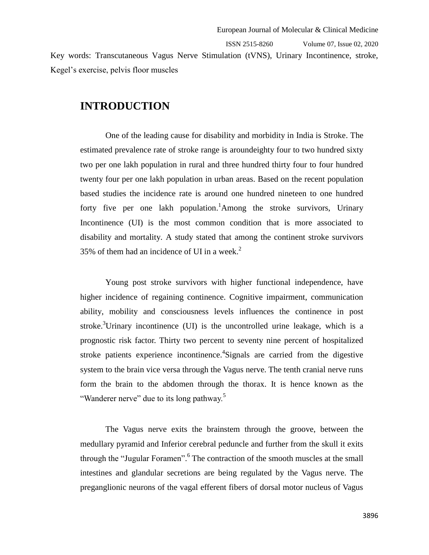ISSN 2515-8260 Volume 07, Issue 02, 2020 Key words: Transcutaneous Vagus Nerve Stimulation (tVNS), Urinary Incontinence, stroke, Kegel's exercise, pelvis floor muscles

### **INTRODUCTION**

One of the leading cause for disability and morbidity in India is Stroke. The estimated prevalence rate of stroke range is aroundeighty four to two hundred sixty two per one lakh population in rural and three hundred thirty four to four hundred twenty four per one lakh population in urban areas. Based on the recent population based studies the incidence rate is around one hundred nineteen to one hundred forty five per one lakh population.<sup>1</sup>Among the stroke survivors, Urinary Incontinence (UI) is the most common condition that is more associated to disability and mortality. A study stated that among the continent stroke survivors 35% of them had an incidence of UI in a week.<sup>2</sup>

Young post stroke survivors with higher functional independence, have higher incidence of regaining continence. Cognitive impairment, communication ability, mobility and consciousness levels influences the continence in post stroke.<sup>3</sup>Urinary incontinence (UI) is the uncontrolled urine leakage, which is a prognostic risk factor. Thirty two percent to seventy nine percent of hospitalized stroke patients experience incontinence. 4 Signals are carried from the digestive system to the brain vice versa through the Vagus nerve. The tenth cranial nerve runs form the brain to the abdomen through the thorax. It is hence known as the "Wanderer nerve" due to its long pathway.<sup>5</sup>

The Vagus nerve exits the brainstem through the groove, between the medullary pyramid and Inferior cerebral peduncle and further from the skull it exits through the "Jugular Foramen". <sup>6</sup> The contraction of the smooth muscles at the small intestines and glandular secretions are being regulated by the Vagus nerve. The preganglionic neurons of the vagal efferent fibers of dorsal motor nucleus of Vagus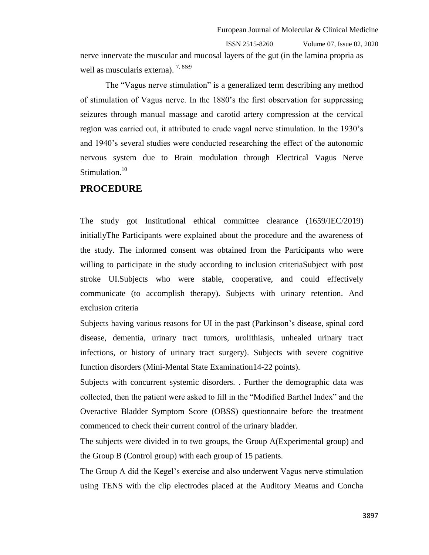nerve innervate the muscular and mucosal layers of the gut (in the lamina propria as well as muscularis externa). <sup>7,8&9</sup>

The "Vagus nerve stimulation" is a generalized term describing any method of stimulation of Vagus nerve. In the 1880's the first observation for suppressing seizures through manual massage and carotid artery compression at the cervical region was carried out, it attributed to crude vagal nerve stimulation. In the 1930's and 1940's several studies were conducted researching the effect of the autonomic nervous system due to Brain modulation through Electrical Vagus Nerve Stimulation.<sup>10</sup>

#### **PROCEDURE**

The study got Institutional ethical committee clearance (1659/IEC/2019) initiallyThe Participants were explained about the procedure and the awareness of the study. The informed consent was obtained from the Participants who were willing to participate in the study according to inclusion criteriaSubject with post stroke UI.Subjects who were stable, cooperative, and could effectively communicate (to accomplish therapy). Subjects with urinary retention. And exclusion criteria

Subjects having various reasons for UI in the past (Parkinson's disease, spinal cord disease, dementia, urinary tract tumors, urolithiasis, unhealed urinary tract infections, or history of urinary tract surgery). Subjects with severe cognitive function disorders (Mini-Mental State Examination14-22 points).

Subjects with concurrent systemic disorders. . Further the demographic data was collected, then the patient were asked to fill in the "Modified Barthel Index" and the Overactive Bladder Symptom Score (OBSS) questionnaire before the treatment commenced to check their current control of the urinary bladder.

The subjects were divided in to two groups, the Group A(Experimental group) and the Group B (Control group) with each group of 15 patients.

The Group A did the Kegel's exercise and also underwent Vagus nerve stimulation using TENS with the clip electrodes placed at the Auditory Meatus and Concha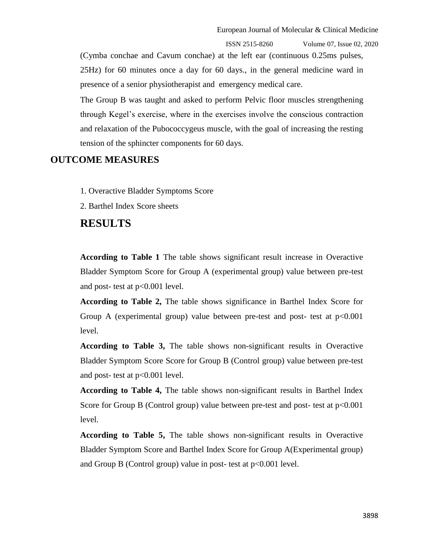(Cymba conchae and Cavum conchae) at the left ear (continuous 0.25ms pulses, 25Hz) for 60 minutes once a day for 60 days., in the general medicine ward in presence of a senior physiotherapist and emergency medical care.

The Group B was taught and asked to perform Pelvic floor muscles strengthening through Kegel's exercise, where in the exercises involve the conscious contraction and relaxation of the Pubococcygeus muscle, with the goal of increasing the resting tension of the sphincter components for 60 days.

#### **OUTCOME MEASURES**

- 1. Overactive Bladder Symptoms Score
- 2. Barthel Index Score sheets

#### **RESULTS**

**According to Table 1** The table shows significant result increase in Overactive Bladder Symptom Score for Group A (experimental group) value between pre-test and post- test at p<0.001 level.

**According to Table 2,** The table shows significance in Barthel Index Score for Group A (experimental group) value between pre-test and post- test at  $p<0.001$ level.

**According to Table 3,** The table shows non-significant results in Overactive Bladder Symptom Score Score for Group B (Control group) value between pre-test and post- test at p<0.001 level.

**According to Table 4,** The table shows non-significant results in Barthel Index Score for Group B (Control group) value between pre-test and post- test at  $p<0.001$ level.

**According to Table 5,** The table shows non-significant results in Overactive Bladder Symptom Score and Barthel Index Score for Group A(Experimental group) and Group B (Control group) value in post- test at  $p<0.001$  level.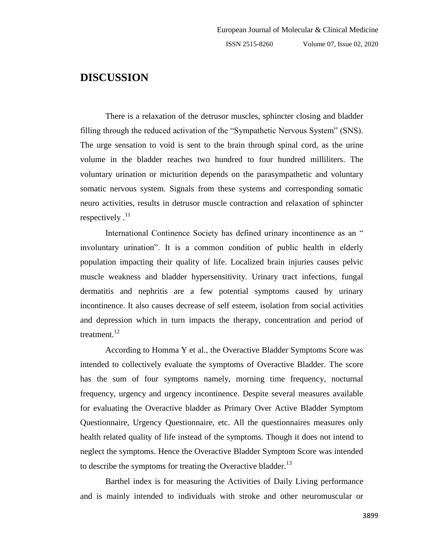### **DISCUSSION**

There is a relaxation of the detrusor muscles, sphincter closing and bladder filling through the reduced activation of the "Sympathetic Nervous System" (SNS). The urge sensation to void is sent to the brain through spinal cord, as the urine volume in the bladder reaches two hundred to four hundred milliliters. The voluntary urination or micturition depends on the parasympathetic and voluntary somatic nervous system. Signals from these systems and corresponding somatic neuro activities, results in detrusor muscle contraction and relaxation of sphincter respectively  $.11$ 

International Continence Society has defined urinary incontinence as an " involuntary urination". It is a common condition of public health in elderly population impacting their quality of life. Localized brain injuries causes pelvic muscle weakness and bladder hypersensitivity. Urinary tract infections, fungal dermatitis and nephritis are a few potential symptoms caused by urinary incontinence. It also causes decrease of self esteem, isolation from social activities and depression which in turn impacts the therapy, concentration and period of treatment.<sup>12</sup>

According to Homma Y et al., the Overactive Bladder Symptoms Score was intended to collectively evaluate the symptoms of Overactive Bladder. The score has the sum of four symptoms namely, morning time frequency, nocturnal frequency, urgency and urgency incontinence. Despite several measures available for evaluating the Overactive bladder as Primary Over Active Bladder Symptom Questionnaire, Urgency Questionnaire, etc. All the questionnaires measures only health related quality of life instead of the symptoms. Though it does not intend to neglect the symptoms. Hence the Overactive Bladder Symptom Score was intended to describe the symptoms for treating the Overactive bladder. $^{13}$ 

Barthel index is for measuring the Activities of Daily Living performance and is mainly intended to individuals with stroke and other neuromuscular or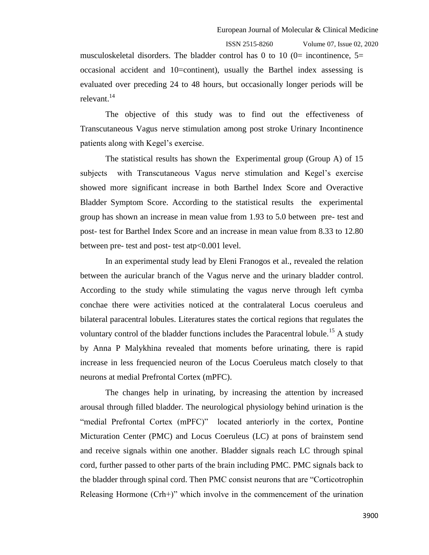musculoskeletal disorders. The bladder control has 0 to 10 (0= incontinence,  $5=$ occasional accident and 10=continent), usually the Barthel index assessing is evaluated over preceding 24 to 48 hours, but occasionally longer periods will be relevant.<sup>14</sup>

The objective of this study was to find out the effectiveness of Transcutaneous Vagus nerve stimulation among post stroke Urinary Incontinence patients along with Kegel's exercise.

The statistical results has shown the Experimental group (Group A) of 15 subjects with Transcutaneous Vagus nerve stimulation and Kegel's exercise showed more significant increase in both Barthel Index Score and Overactive Bladder Symptom Score. According to the statistical results the experimental group has shown an increase in mean value from 1.93 to 5.0 between pre- test and post- test for Barthel Index Score and an increase in mean value from 8.33 to 12.80 between pre- test and post- test atp<0.001 level.

In an experimental study lead by Eleni Franogos et al., revealed the relation between the auricular branch of the Vagus nerve and the urinary bladder control. According to the study while stimulating the vagus nerve through left cymba conchae there were activities noticed at the contralateral Locus coeruleus and bilateral paracentral lobules. Literatures states the cortical regions that regulates the voluntary control of the bladder functions includes the Paracentral lobule.<sup>15</sup> A study by Anna P Malykhina revealed that moments before urinating, there is rapid increase in less frequencied neuron of the Locus Coeruleus match closely to that neurons at medial Prefrontal Cortex (mPFC).

The changes help in urinating, by increasing the attention by increased arousal through filled bladder. The neurological physiology behind urination is the "medial Prefrontal Cortex (mPFC)" located anteriorly in the cortex, Pontine Micturation Center (PMC) and Locus Coeruleus (LC) at pons of brainstem send and receive signals within one another. Bladder signals reach LC through spinal cord, further passed to other parts of the brain including PMC. PMC signals back to the bladder through spinal cord. Then PMC consist neurons that are "Corticotrophin Releasing Hormone  $(Crh+)$ " which involve in the commencement of the urination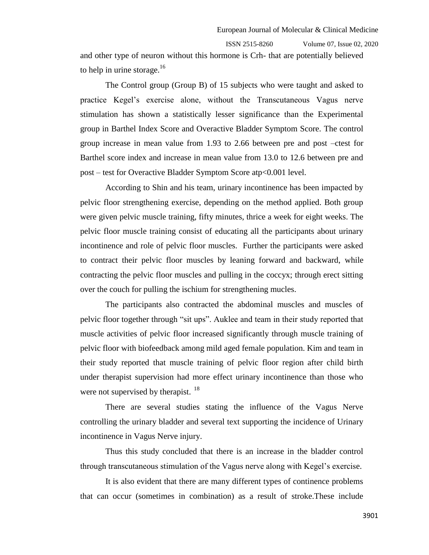and other type of neuron without this hormone is Crh- that are potentially believed to help in urine storage. $16$ 

The Control group (Group B) of 15 subjects who were taught and asked to practice Kegel's exercise alone, without the Transcutaneous Vagus nerve stimulation has shown a statistically lesser significance than the Experimental group in Barthel Index Score and Overactive Bladder Symptom Score. The control group increase in mean value from 1.93 to 2.66 between pre and post –ctest for Barthel score index and increase in mean value from 13.0 to 12.6 between pre and post – test for Overactive Bladder Symptom Score atp<0.001 level.

According to Shin and his team, urinary incontinence has been impacted by pelvic floor strengthening exercise, depending on the method applied. Both group were given pelvic muscle training, fifty minutes, thrice a week for eight weeks. The pelvic floor muscle training consist of educating all the participants about urinary incontinence and role of pelvic floor muscles. Further the participants were asked to contract their pelvic floor muscles by leaning forward and backward, while contracting the pelvic floor muscles and pulling in the coccyx; through erect sitting over the couch for pulling the ischium for strengthening mucles.

The participants also contracted the abdominal muscles and muscles of pelvic floor together through "sit ups". Auklee and team in their study reported that muscle activities of pelvic floor increased significantly through muscle training of pelvic floor with biofeedback among mild aged female population. Kim and team in their study reported that muscle training of pelvic floor region after child birth under therapist supervision had more effect urinary incontinence than those who were not supervised by therapist.  $18$ 

There are several studies stating the influence of the Vagus Nerve controlling the urinary bladder and several text supporting the incidence of Urinary incontinence in Vagus Nerve injury.

Thus this study concluded that there is an increase in the bladder control through transcutaneous stimulation of the Vagus nerve along with Kegel's exercise.

It is also evident that there are many different types of continence problems that can occur (sometimes in combination) as a result of stroke.These include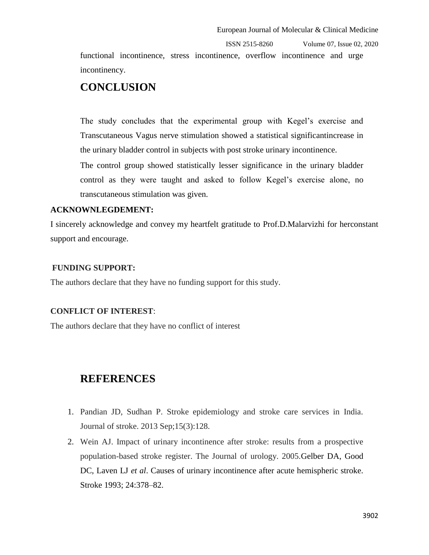functional incontinence, stress incontinence, overflow incontinence and urge incontinency.

## **CONCLUSION**

The study concludes that the experimental group with Kegel's exercise and Transcutaneous Vagus nerve stimulation showed a statistical significantincrease in the urinary bladder control in subjects with post stroke urinary incontinence.

The control group showed statistically lesser significance in the urinary bladder control as they were taught and asked to follow Kegel's exercise alone, no transcutaneous stimulation was given.

#### **ACKNOWNLEGDEMENT:**

I sincerely acknowledge and convey my heartfelt gratitude to Prof.D.Malarvizhi for herconstant support and encourage.

#### **FUNDING SUPPORT:**

The authors declare that they have no funding support for this study.

#### **CONFLICT OF INTEREST**:

The authors declare that they have no conflict of interest

## **REFERENCES**

- 1. Pandian JD, Sudhan P. Stroke epidemiology and stroke care services in India. Journal of stroke. 2013 Sep;15(3):128.
- 2. Wein AJ. Impact of urinary incontinence after stroke: results from a prospective population-based stroke register. The Journal of urology. 2005.Gelber DA, Good DC, Laven LJ *et al*. Causes of urinary incontinence after acute hemispheric stroke. Stroke 1993; 24:378–82.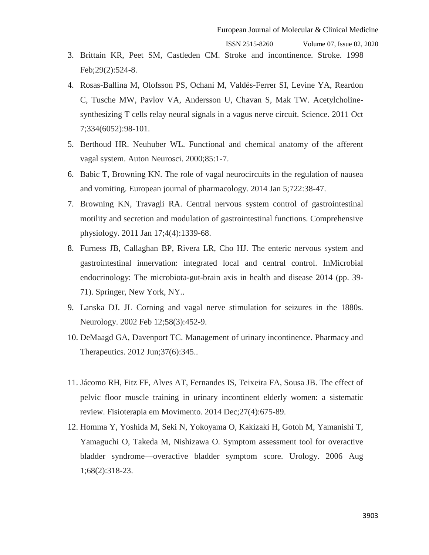- 3. Brittain KR, Peet SM, Castleden CM. Stroke and incontinence. Stroke. 1998 Feb;29(2):524-8.
- 4. Rosas-Ballina M, Olofsson PS, Ochani M, Valdés-Ferrer SI, Levine YA, Reardon C, Tusche MW, Pavlov VA, Andersson U, Chavan S, Mak TW. Acetylcholinesynthesizing T cells relay neural signals in a vagus nerve circuit. Science. 2011 Oct 7;334(6052):98-101.
- 5. Berthoud HR. Neuhuber WL. Functional and chemical anatomy of the afferent vagal system. Auton Neurosci. 2000;85:1-7.
- 6. Babic T, Browning KN. The role of vagal neurocircuits in the regulation of nausea and vomiting. European journal of pharmacology. 2014 Jan 5;722:38-47.
- 7. Browning KN, Travagli RA. Central nervous system control of gastrointestinal motility and secretion and modulation of gastrointestinal functions. Comprehensive physiology. 2011 Jan 17;4(4):1339-68.
- 8. Furness JB, Callaghan BP, Rivera LR, Cho HJ. The enteric nervous system and gastrointestinal innervation: integrated local and central control. InMicrobial endocrinology: The microbiota-gut-brain axis in health and disease 2014 (pp. 39- 71). Springer, New York, NY..
- 9. Lanska DJ. JL Corning and vagal nerve stimulation for seizures in the 1880s. Neurology. 2002 Feb 12;58(3):452-9.
- 10. DeMaagd GA, Davenport TC. Management of urinary incontinence. Pharmacy and Therapeutics. 2012 Jun;37(6):345..
- 11. Jácomo RH, Fitz FF, Alves AT, Fernandes IS, Teixeira FA, Sousa JB. The effect of pelvic floor muscle training in urinary incontinent elderly women: a sistematic review. Fisioterapia em Movimento. 2014 Dec;27(4):675-89.
- 12. Homma Y, Yoshida M, Seki N, Yokoyama O, Kakizaki H, Gotoh M, Yamanishi T, Yamaguchi O, Takeda M, Nishizawa O. Symptom assessment tool for overactive bladder syndrome—overactive bladder symptom score. Urology. 2006 Aug 1;68(2):318-23.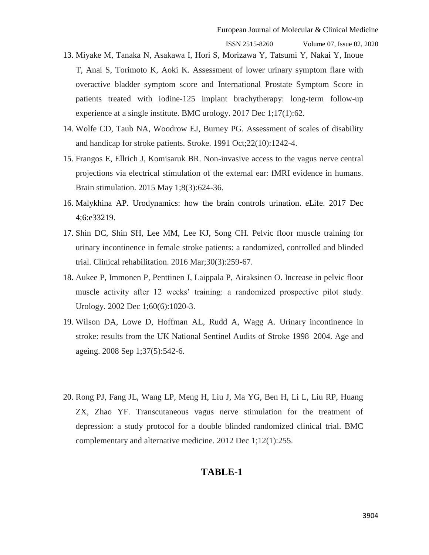- 13. Miyake M, Tanaka N, Asakawa I, Hori S, Morizawa Y, Tatsumi Y, Nakai Y, Inoue T, Anai S, Torimoto K, Aoki K. Assessment of lower urinary symptom flare with overactive bladder symptom score and International Prostate Symptom Score in patients treated with iodine-125 implant brachytherapy: long-term follow-up experience at a single institute. BMC urology. 2017 Dec 1;17(1):62.
- 14. Wolfe CD, Taub NA, Woodrow EJ, Burney PG. Assessment of scales of disability and handicap for stroke patients. Stroke. 1991 Oct;22(10):1242-4.
- 15. Frangos E, Ellrich J, Komisaruk BR. Non-invasive access to the vagus nerve central projections via electrical stimulation of the external ear: fMRI evidence in humans. Brain stimulation. 2015 May 1;8(3):624-36.
- 16. Malykhina AP. Urodynamics: how the brain controls urination. eLife. 2017 Dec 4;6:e33219.
- 17. Shin DC, Shin SH, Lee MM, Lee KJ, Song CH. Pelvic floor muscle training for urinary incontinence in female stroke patients: a randomized, controlled and blinded trial. Clinical rehabilitation. 2016 Mar;30(3):259-67.
- 18. Aukee P, Immonen P, Penttinen J, Laippala P, Airaksinen O. Increase in pelvic floor muscle activity after 12 weeks' training: a randomized prospective pilot study. Urology. 2002 Dec 1;60(6):1020-3.
- 19. Wilson DA, Lowe D, Hoffman AL, Rudd A, Wagg A. Urinary incontinence in stroke: results from the UK National Sentinel Audits of Stroke 1998–2004. Age and ageing. 2008 Sep 1;37(5):542-6.
- 20. Rong PJ, Fang JL, Wang LP, Meng H, Liu J, Ma YG, Ben H, Li L, Liu RP, Huang ZX, Zhao YF. Transcutaneous vagus nerve stimulation for the treatment of depression: a study protocol for a double blinded randomized clinical trial. BMC complementary and alternative medicine. 2012 Dec 1;12(1):255.

#### **TABLE-1**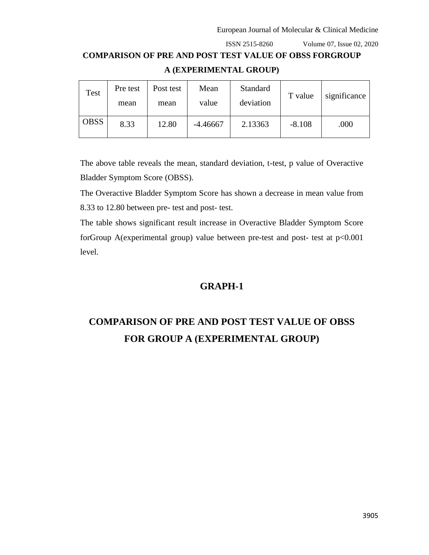## **COMPARISON OF PRE AND POST TEST VALUE OF OBSS FORGROUP A (EXPERIMENTAL GROUP)**

| Test        | Pre test<br>mean | Post test<br>mean | Mean<br>value | Standard<br>deviation | T value  | significance |
|-------------|------------------|-------------------|---------------|-----------------------|----------|--------------|
| <b>OBSS</b> | 8.33             | 12.80             | $-4.46667$    | 2.13363               | $-8.108$ | .000         |

The above table reveals the mean, standard deviation, t-test, p value of Overactive Bladder Symptom Score (OBSS).

The Overactive Bladder Symptom Score has shown a decrease in mean value from 8.33 to 12.80 between pre- test and post- test.

The table shows significant result increase in Overactive Bladder Symptom Score forGroup A(experimental group) value between pre-test and post- test at p<0.001 level.

#### **GRAPH-1**

## **COMPARISON OF PRE AND POST TEST VALUE OF OBSS FOR GROUP A (EXPERIMENTAL GROUP)**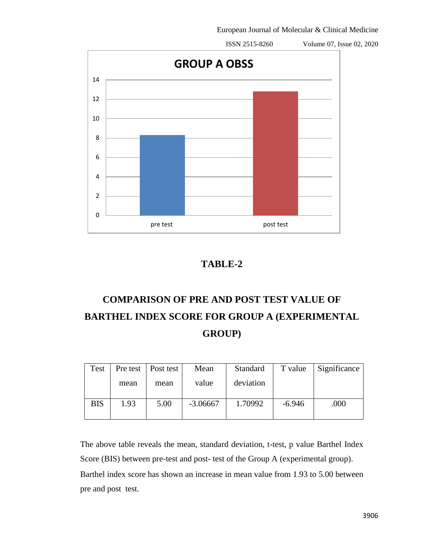

### **TABLE-2**

## **COMPARISON OF PRE AND POST TEST VALUE OF BARTHEL INDEX SCORE FOR GROUP A (EXPERIMENTAL GROUP)**

| Test       |      | Pre test   Post test | Mean       | Standard  | T value  | Significance |
|------------|------|----------------------|------------|-----------|----------|--------------|
|            | mean | mean                 | value      | deviation |          |              |
| <b>BIS</b> | 1.93 | 5.00                 | $-3.06667$ | 1.70992   | $-6.946$ | .000         |

The above table reveals the mean, standard deviation, t-test, p value Barthel Index Score (BIS) between pre-test and post- test of the Group A (experimental group). Barthel index score has shown an increase in mean value from 1.93 to 5.00 between pre and post test.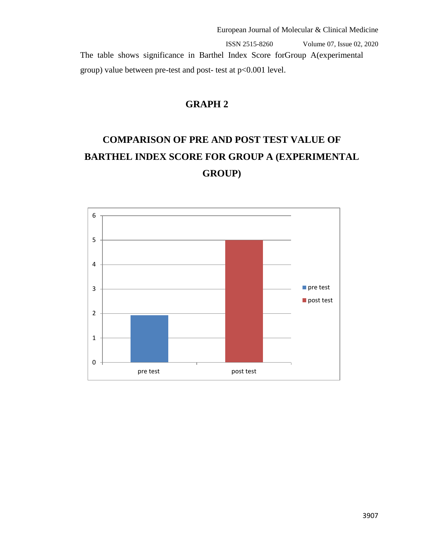ISSN 2515-8260 Volume 07, Issue 02, 2020 The table shows significance in Barthel Index Score forGroup A(experimental group) value between pre-test and post- test at p<0.001 level.

## **GRAPH 2**

## **COMPARISON OF PRE AND POST TEST VALUE OF BARTHEL INDEX SCORE FOR GROUP A (EXPERIMENTAL GROUP)**

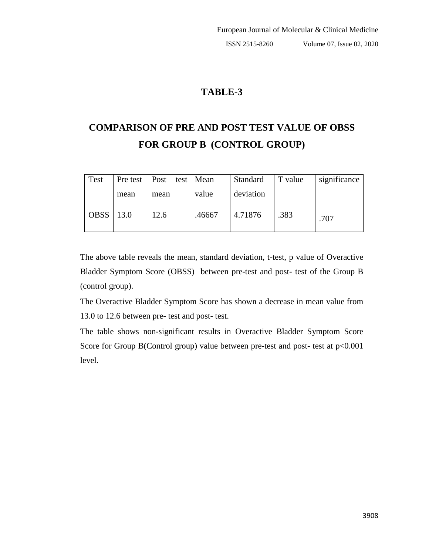## **TABLE-3**

## **COMPARISON OF PRE AND POST TEST VALUE OF OBSS FOR GROUP B (CONTROL GROUP)**

| Test        |      | Pre test   Post test   Mean |        | Standard  | T value | significance |
|-------------|------|-----------------------------|--------|-----------|---------|--------------|
|             | mean | mean                        | value  | deviation |         |              |
| <b>OBSS</b> | 13.0 | 12.6                        | .46667 | 4.71876   | .383    | .707         |

The above table reveals the mean, standard deviation, t-test, p value of Overactive Bladder Symptom Score (OBSS) between pre-test and post- test of the Group B (control group).

The Overactive Bladder Symptom Score has shown a decrease in mean value from 13.0 to 12.6 between pre- test and post- test.

The table shows non-significant results in Overactive Bladder Symptom Score Score for Group B(Control group) value between pre-test and post- test at  $p<0.001$ level.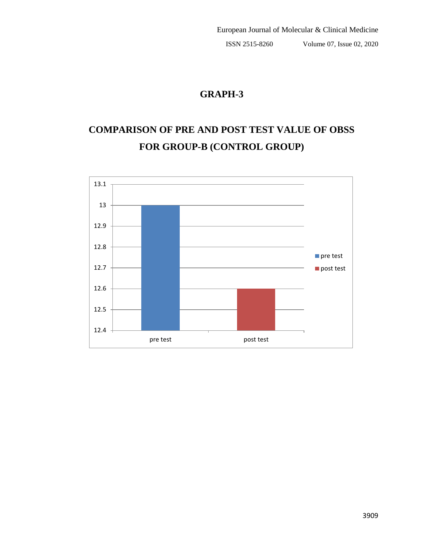## **GRAPH-3**

## **COMPARISON OF PRE AND POST TEST VALUE OF OBSS FOR GROUP-B (CONTROL GROUP)**

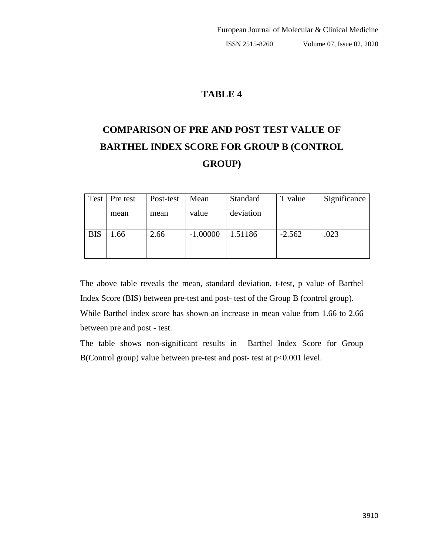### **TABLE 4**

## **COMPARISON OF PRE AND POST TEST VALUE OF BARTHEL INDEX SCORE FOR GROUP B (CONTROL GROUP)**

|            | Test   Pre test | Post-test | Mean       | Standard  | T value  | Significance |
|------------|-----------------|-----------|------------|-----------|----------|--------------|
|            | mean            | mean      | value      | deviation |          |              |
| <b>BIS</b> | l.66            | 2.66      | $-1.00000$ | 1.51186   | $-2.562$ | .023         |

The above table reveals the mean, standard deviation, t-test, p value of Barthel Index Score (BIS) between pre-test and post- test of the Group B (control group).

While Barthel index score has shown an increase in mean value from 1.66 to 2.66 between pre and post - test.

The table shows non-significant results in Barthel Index Score for Group B(Control group) value between pre-test and post- test at p<0.001 level.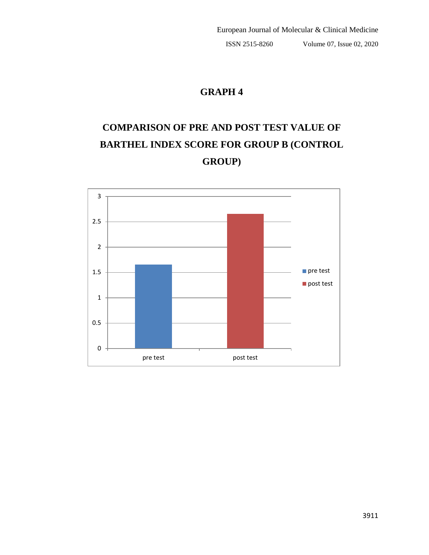## **GRAPH 4**

## **COMPARISON OF PRE AND POST TEST VALUE OF BARTHEL INDEX SCORE FOR GROUP B (CONTROL GROUP)**

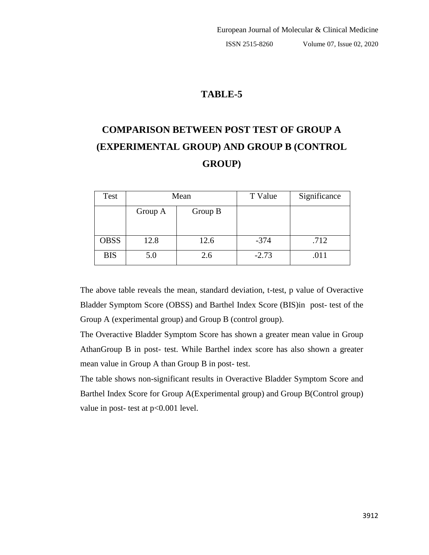## **TABLE-5**

## **COMPARISON BETWEEN POST TEST OF GROUP A (EXPERIMENTAL GROUP) AND GROUP B (CONTROL GROUP)**

| Test        |         | Mean    | T Value | Significance |
|-------------|---------|---------|---------|--------------|
|             | Group A | Group B |         |              |
| <b>OBSS</b> | 12.8    | 12.6    | $-374$  | .712         |
| <b>BIS</b>  | 5.0     | 2.6     | $-2.73$ | .011         |

The above table reveals the mean, standard deviation, t-test, p value of Overactive Bladder Symptom Score (OBSS) and Barthel Index Score (BIS)in post- test of the Group A (experimental group) and Group B (control group).

The Overactive Bladder Symptom Score has shown a greater mean value in Group AthanGroup B in post- test. While Barthel index score has also shown a greater mean value in Group A than Group B in post- test.

The table shows non-significant results in Overactive Bladder Symptom Score and Barthel Index Score for Group A(Experimental group) and Group B(Control group) value in post- test at p<0.001 level.